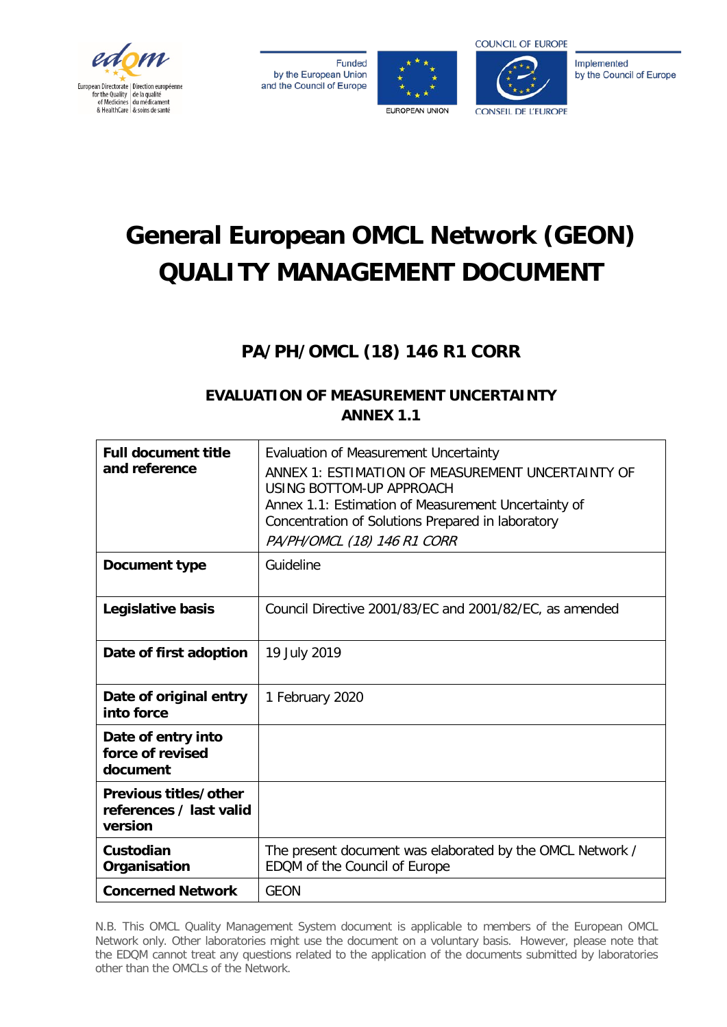

**Funded** by the European Union and the Council of Europe





Implemented by the Council of Europe

# **General European OMCL Network (GEON) QUALITY MANAGEMENT DOCUMENT**

## **PA/PH/OMCL (18) 146 R1 CORR**

## **EVALUATION OF MEASUREMENT UNCERTAINTY ANNEX 1.1**

| <b>Full document title</b><br>and reference                 | Evaluation of Measurement Uncertainty<br>ANNEX 1: ESTIMATION OF MEASUREMENT UNCERTAINTY OF<br>USING BOTTOM-UP APPROACH<br>Annex 1.1: Estimation of Measurement Uncertainty of<br>Concentration of Solutions Prepared in laboratory<br>PA/PH/OMCL (18) 146 R1 CORR |
|-------------------------------------------------------------|-------------------------------------------------------------------------------------------------------------------------------------------------------------------------------------------------------------------------------------------------------------------|
| Document type                                               | Guideline                                                                                                                                                                                                                                                         |
| Legislative basis                                           | Council Directive 2001/83/EC and 2001/82/EC, as amended                                                                                                                                                                                                           |
| Date of first adoption                                      | 19 July 2019                                                                                                                                                                                                                                                      |
| Date of original entry<br>into force                        | 1 February 2020                                                                                                                                                                                                                                                   |
| Date of entry into<br>force of revised<br>document          |                                                                                                                                                                                                                                                                   |
| Previous titles/other<br>references / last valid<br>version |                                                                                                                                                                                                                                                                   |
| Custodian<br>Organisation                                   | The present document was elaborated by the OMCL Network /<br>EDQM of the Council of Europe                                                                                                                                                                        |
| <b>Concerned Network</b>                                    | <b>GEON</b>                                                                                                                                                                                                                                                       |

N.B. This OMCL Quality Management System document is applicable to members of the European OMCL Network only. Other laboratories might use the document on a voluntary basis. However, please note that the EDQM cannot treat any questions related to the application of the documents submitted by laboratories other than the OMCLs of the Network.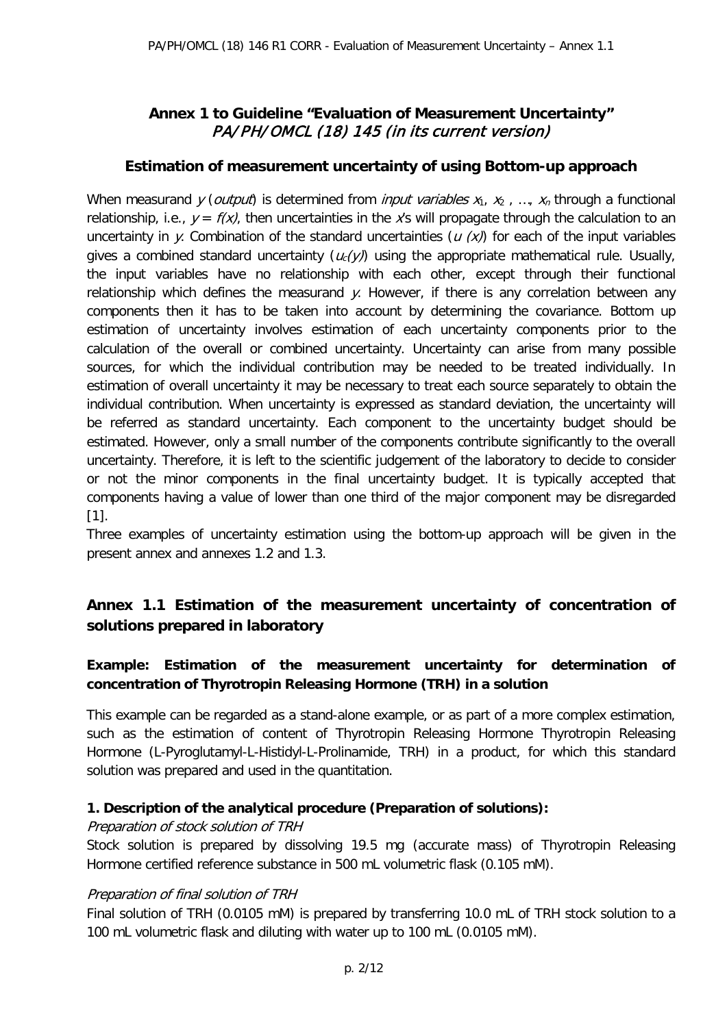## **Annex 1 to Guideline "Evaluation of Measurement Uncertainty"**  PA/PH/OMCL (18) 145 (in its current version)

## **Estimation of measurement uncertainty of using Bottom-up approach**

When measurand y (*output*) is determined from *input variables*  $x_1, x_2, ..., x_n$  through a functional relationship, i.e.,  $y = f(x)$ , then uncertainties in the x's will propagate through the calculation to an uncertainty in y. Combination of the standard uncertainties ( $u(x)$ ) for each of the input variables gives a combined standard uncertainty  $(u_c(y))$  using the appropriate mathematical rule. Usually, the input variables have no relationship with each other, except through their functional relationship which defines the measurand y. However, if there is any correlation between any components then it has to be taken into account by determining the covariance. Bottom up estimation of uncertainty involves estimation of each uncertainty components prior to the calculation of the overall or combined uncertainty. Uncertainty can arise from many possible sources, for which the individual contribution may be needed to be treated individually. In estimation of overall uncertainty it may be necessary to treat each source separately to obtain the individual contribution. When uncertainty is expressed as standard deviation, the uncertainty will be referred as standard uncertainty. Each component to the uncertainty budget should be estimated. However, only a small number of the components contribute significantly to the overall uncertainty. Therefore, it is left to the scientific judgement of the laboratory to decide to consider or not the minor components in the final uncertainty budget. It is typically accepted that components having a value of lower than one third of the major component may be disregarded [1].

Three examples of uncertainty estimation using the bottom-up approach will be given in the present annex and annexes 1.2 and 1.3.

## **Annex 1.1 Estimation of the measurement uncertainty of concentration of solutions prepared in laboratory**

## **Example: Estimation of the measurement uncertainty for determination of concentration of Thyrotropin Releasing Hormone (TRH) in a solution**

This example can be regarded as a stand-alone example, or as part of a more complex estimation, such as the estimation of content of Thyrotropin Releasing Hormone Thyrotropin Releasing Hormone (L-Pyroglutamyl-L-Histidyl-L-Prolinamide, TRH) in a product, for which this standard solution was prepared and used in the quantitation.

#### **1. Description of the analytical procedure (Preparation of solutions):**

#### Preparation of stock solution of TRH

Stock solution is prepared by dissolving 19.5 mg (accurate mass) of Thyrotropin Releasing Hormone certified reference substance in 500 mL volumetric flask (0.105 mM).

#### Preparation of final solution of TRH

Final solution of TRH (0.0105 mM) is prepared by transferring 10.0 mL of TRH stock solution to a 100 mL volumetric flask and diluting with water up to 100 mL (0.0105 mM).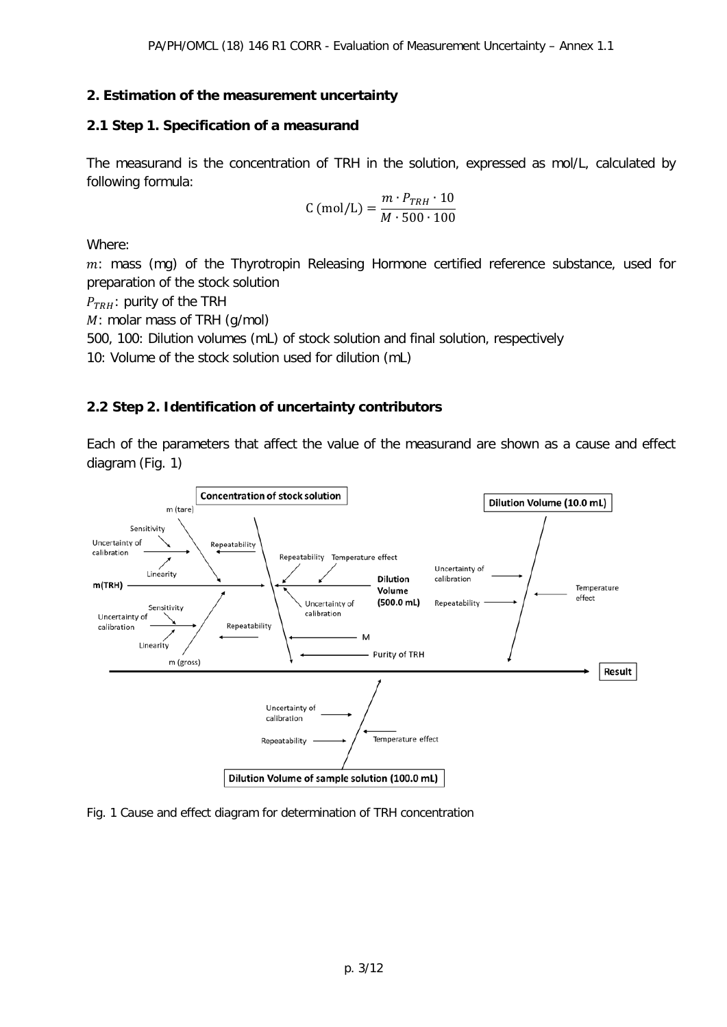## **2. Estimation of the measurement uncertainty**

## **2.1 Step 1. Specification of a measurand**

The measurand is the concentration of TRH in the solution, expressed as mol/L, calculated by following formula:

$$
C \text{ (mol/L)} = \frac{m \cdot P_{TRH} \cdot 10}{M \cdot 500 \cdot 100}
$$

Where:

 $m$ : mass (mg) of the Thyrotropin Releasing Hormone certified reference substance, used for preparation of the stock solution

 $P_{TRH}$ : purity of the TRH

M: molar mass of TRH (g/mol)

500, 100: Dilution volumes (mL) of stock solution and final solution, respectively

10: Volume of the stock solution used for dilution (mL)

## **2.2 Step 2. Identification of uncertainty contributors**

Each of the parameters that affect the value of the measurand are shown as a cause and effect diagram (Fig. 1)



Fig. 1 Cause and effect diagram for determination of TRH concentration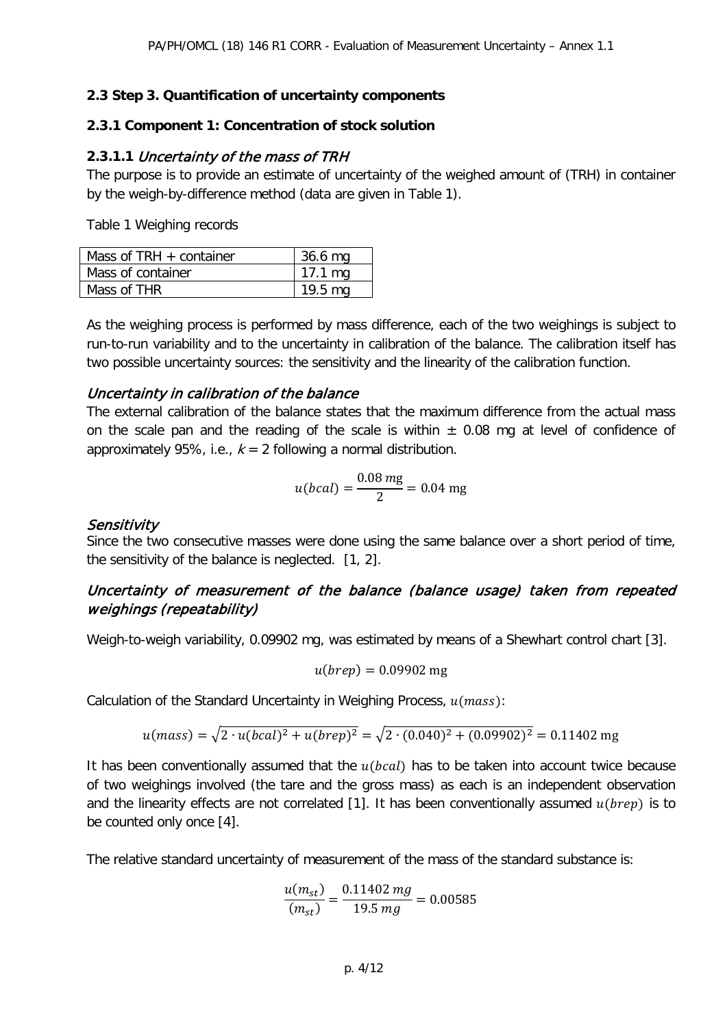#### **2.3 Step 3. Quantification of uncertainty components**

#### **2.3.1 Component 1: Concentration of stock solution**

#### **2.3.1.1** Uncertainty of the mass of TRH

The purpose is to provide an estimate of uncertainty of the weighed amount of (TRH) in container by the weigh-by-difference method (data are given in Table 1).

Table 1 Weighing records

| Mass of TRH $+$ container | 36.6 mg          |
|---------------------------|------------------|
| Mass of container         | $17.1 \text{mg}$ |
| Mass of THR               | 19.5 mg          |

As the weighing process is performed by mass difference, each of the two weighings is subject to run-to-run variability and to the uncertainty in calibration of the balance. The calibration itself has two possible uncertainty sources: the sensitivity and the linearity of the calibration function.

#### Uncertainty in calibration of the balance

The external calibration of the balance states that the maximum difference from the actual mass on the scale pan and the reading of the scale is within  $\pm$  0.08 mg at level of confidence of approximately 95%, i.e.,  $k = 2$  following a normal distribution.

$$
u(bcal) = \frac{0.08 \, mg}{2} = 0.04 \, mg
$$

#### Sensitivity

Since the two consecutive masses were done using the same balance over a short period of time, the sensitivity of the balance is neglected. [1, 2].

## Uncertainty of measurement of the balance (balance usage) taken from repeated weighings (repeatability)

Weigh-to-weigh variability, 0.09902 mg, was estimated by means of a Shewhart control chart [3].

$$
u(brep) = 0.09902 \text{ mg}
$$

Calculation of the Standard Uncertainty in Weighing Process,  $u(mass)$ :

$$
u(mass) = \sqrt{2 \cdot u(bcal)^2 + u(brep)^2} = \sqrt{2 \cdot (0.040)^2 + (0.09902)^2} = 0.11402 \text{ mg}
$$

It has been conventionally assumed that the  $u(bcal)$  has to be taken into account twice because of two weighings involved (the tare and the gross mass) as each is an independent observation and the linearity effects are not correlated [1]. It has been conventionally assumed  $u(brep)$  is to be counted only once [4].

The relative standard uncertainty of measurement of the mass of the standard substance is:

$$
\frac{u(m_{st})}{(m_{st})} = \frac{0.11402 mg}{19.5 mg} = 0.00585
$$

p. 4/12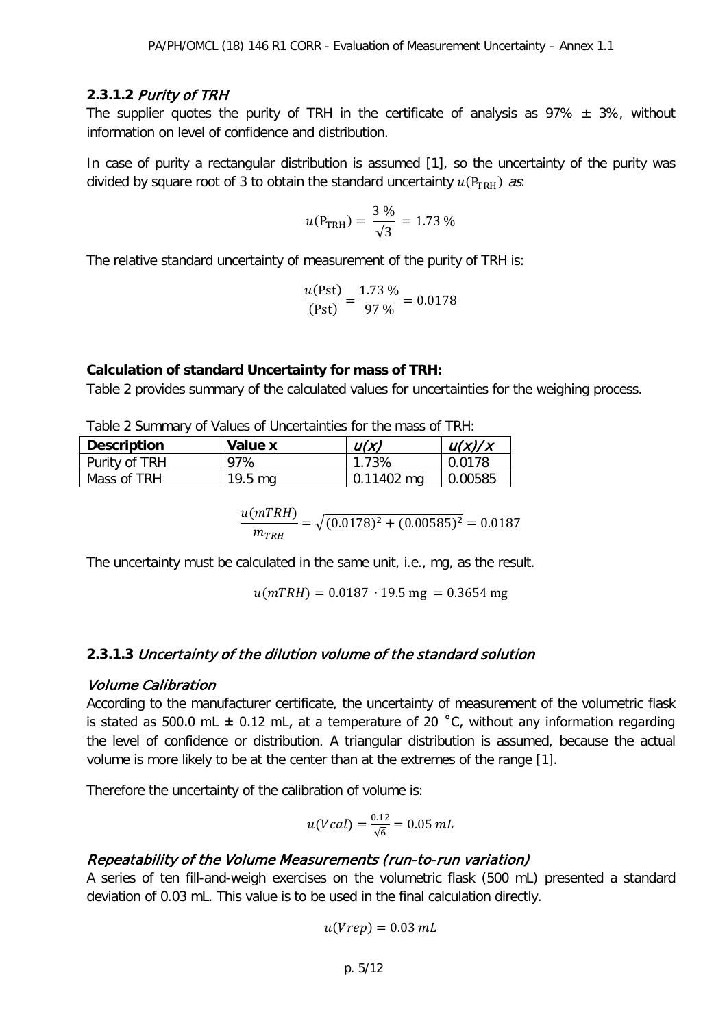#### **2.3.1.2** Purity of TRH

The supplier quotes the purity of TRH in the certificate of analysis as  $97\% \pm 3\%$ , without information on level of confidence and distribution.

In case of purity a rectangular distribution is assumed [1], so the uncertainty of the purity was divided by square root of 3 to obtain the standard uncertainty  $u(P_{TRH})$  as:

$$
u(P_{\text{TRH}}) = \frac{3\,\%}{\sqrt{3}} = 1.73\,\%
$$

The relative standard uncertainty of measurement of the purity of TRH is:

$$
\frac{u(\text{Pst})}{(\text{Pst})} = \frac{1.73 \text{ %}}{97 \text{ %}} = 0.0178
$$

#### **Calculation of standard Uncertainty for mass of TRH:**

Table 2 provides summary of the calculated values for uncertainties for the weighing process.

Table 2 Summary of Values of Uncertainties for the mass of TRH:

| <b>Description</b> | Value x           | U(X)                 | u(x)/x  |
|--------------------|-------------------|----------------------|---------|
| Purity of TRH      | 97%               | 1.73%                | 0.0178  |
| Mass of TRH        | $19.5 \text{ ma}$ | $0.11402 \text{ mg}$ | 0.00585 |

$$
\frac{u(mTRH)}{m_{TRH}} = \sqrt{(0.0178)^2 + (0.00585)^2} = 0.0187
$$

The uncertainty must be calculated in the same unit, i.e., mg, as the result.

 $u(mTRH) = 0.0187 \cdot 19.5$  mg = 0.3654 mg

#### **2.3.1.3** Uncertainty of the dilution volume of the standard solution

#### Volume Calibration

According to the manufacturer certificate, the uncertainty of measurement of the volumetric flask is stated as 500.0 mL  $\pm$  0.12 mL, at a temperature of 20 °C, without any information regarding the level of confidence or distribution. A triangular distribution is assumed, because the actual volume is more likely to be at the center than at the extremes of the range [1].

Therefore the uncertainty of the calibration of volume is:

$$
u(Vcal) = \frac{0.12}{\sqrt{6}} = 0.05 \, mL
$$

#### Repeatability of the Volume Measurements (run-to-run variation)

A series of ten fill-and-weigh exercises on the volumetric flask (500 mL) presented a standard deviation of 0.03 mL. This value is to be used in the final calculation directly.

$$
u(Vrep) = 0.03\ mL
$$

$$
p.\;5/12
$$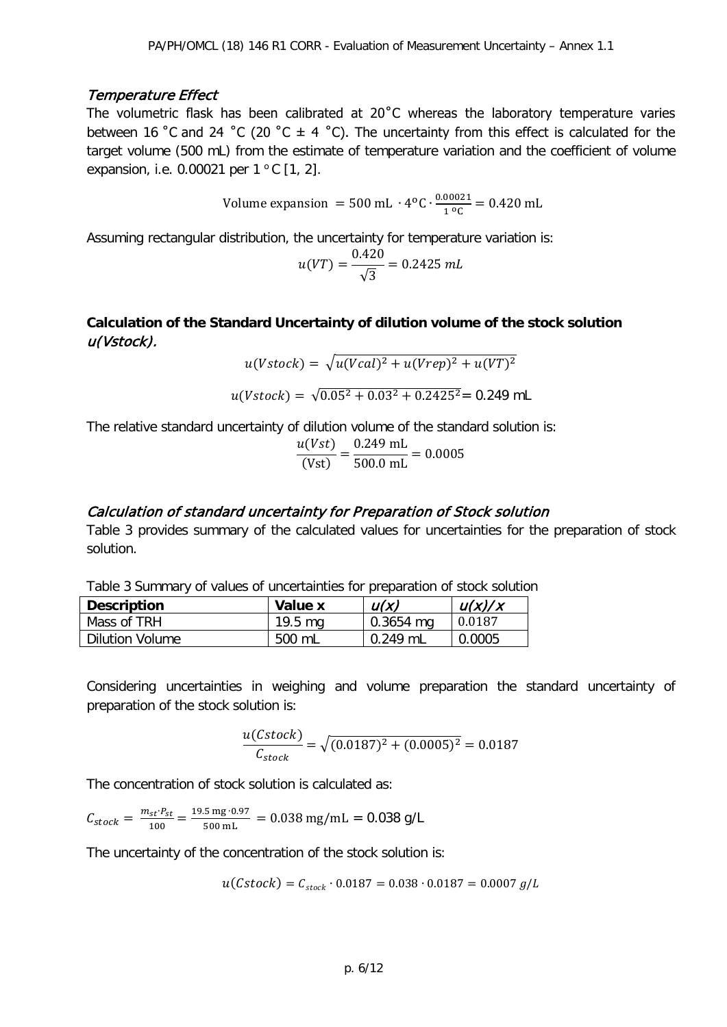#### Temperature Effect

The volumetric flask has been calibrated at 20°C whereas the laboratory temperature varies between 16 °C and 24 °C (20 °C  $\pm$  4 °C). The uncertainty from this effect is calculated for the target volume (500 mL) from the estimate of temperature variation and the coefficient of volume expansion, i.e. 0.00021 per  $1^{\circ}$ C [1, 2].

Volume expansion = 500 mL ⋅  $4^{\circ}$ C ⋅  $\frac{0.00021}{1^{\circ}$  = 0.420 mL

Assuming rectangular distribution, the uncertainty for temperature variation is:

$$
u(VT) = \frac{0.420}{\sqrt{3}} = 0.2425 \, mL
$$

**Calculation of the Standard Uncertainty of dilution volume of the stock solution**  u(Vstock).

$$
u(Vstock) = \sqrt{u(Vcal)^2 + u(Vrep)^2 + u(VT)^2}
$$

$$
u(Vstock) = \sqrt{0.05^2 + 0.03^2 + 0.2425^2} = 0.249 \text{ mL}
$$

The relative standard uncertainty of dilution volume of the standard solution is:

$$
\frac{u(Vst)}{(Vst)} = \frac{0.249 \text{ mL}}{500.0 \text{ mL}} = 0.0005
$$

#### Calculation of standard uncertainty for Preparation of Stock solution

Table 3 provides summary of the calculated values for uncertainties for the preparation of stock solution.

Table 3 Summary of values of uncertainties for preparation of stock solution

| <b>Description</b> | Value x           | u(x)        | u(x)/x |
|--------------------|-------------------|-------------|--------|
| Mass of TRH        | $19.5 \text{ ma}$ | $0.3654$ mg | 0.0187 |
| Dilution Volume    | 500 mL            | $0.249$ ml  | 0.0005 |

Considering uncertainties in weighing and volume preparation the standard uncertainty of preparation of the stock solution is:

$$
\frac{u(Cstock)}{C_{stock}} = \sqrt{(0.0187)^2 + (0.0005)^2} = 0.0187
$$

The concentration of stock solution is calculated as:

$$
C_{stock} = \frac{m_{st} \cdot P_{st}}{100} = \frac{19.5 \text{ mg} \cdot 0.97}{500 \text{ mL}} = 0.038 \text{ mg/mL} = 0.038 \text{ g/L}
$$

The uncertainty of the concentration of the stock solution is:

$$
u(\mathcal{C}stock) = C_{stock} \cdot 0.0187 = 0.038 \cdot 0.0187 = 0.0007 \, g/L
$$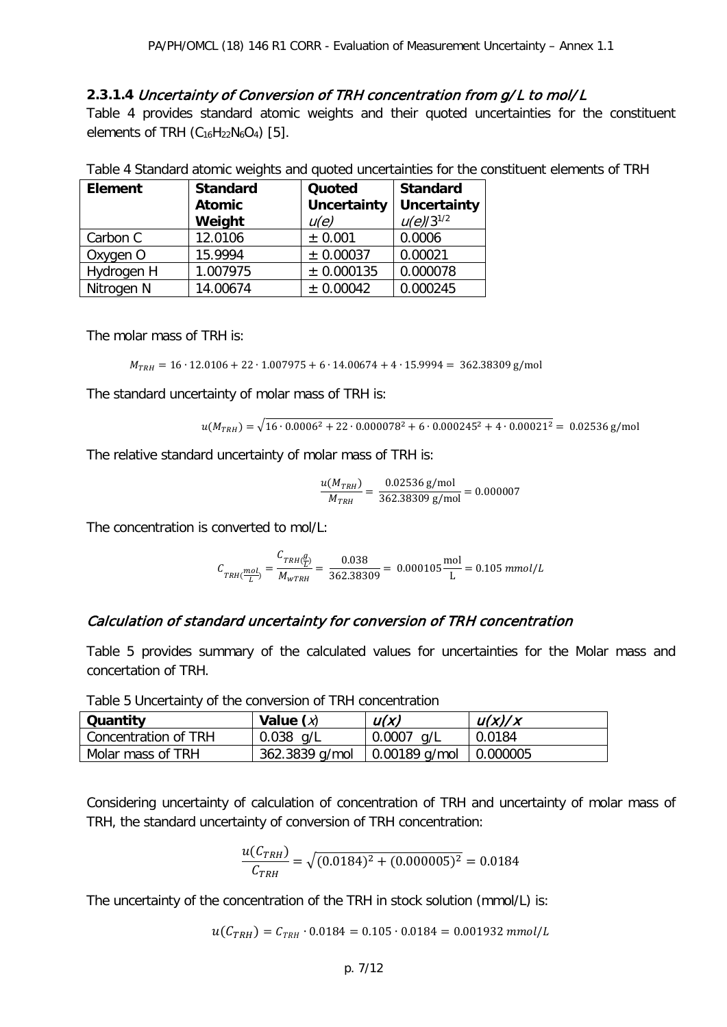#### **2.3.1.4** Uncertainty of Conversion of TRH concentration from g/L to mol/L

Table 4 provides standard atomic weights and their quoted uncertainties for the constituent elements of TRH  $(C_{16}H_{22}N_6O_4)$  [5].

|  | Table 4 Standard atomic weights and quoted uncertainties for the constituent elements of TRH |
|--|----------------------------------------------------------------------------------------------|
|--|----------------------------------------------------------------------------------------------|

| <b>Element</b> | <b>Standard</b> | Quoted      | <b>Standard</b>    |
|----------------|-----------------|-------------|--------------------|
|                | <b>Atomic</b>   | Uncertainty | <b>Uncertainty</b> |
|                | Weight          | u(e)        | $u(e)/3^{1/2}$     |
| Carbon C       | 12.0106         | ± 0.001     | 0.0006             |
| Oxygen O       | 15.9994         | ± 0.00037   | 0.00021            |
| Hydrogen H     | 1.007975        | ± 0.000135  | 0.000078           |
| Nitrogen N     | 14.00674        | ± 0.00042   | 0.000245           |

The molar mass of TRH is:

$$
M_{TRH} = 16 \cdot 12.0106 + 22 \cdot 1.007975 + 6 \cdot 14.00674 + 4 \cdot 15.9994 = 362.38309 \text{ g/mol}
$$

The standard uncertainty of molar mass of TRH is:

$$
u(M_{TRH}) = \sqrt{16 \cdot 0.0006^2 + 22 \cdot 0.000078^2 + 6 \cdot 0.000245^2 + 4 \cdot 0.00021^2} = 0.02536 \text{ g/mol}
$$

The relative standard uncertainty of molar mass of TRH is:

$$
\frac{u(M_{TRH})}{M_{TRH}} = \frac{0.02536 \text{ g/mol}}{362.38309 \text{ g/mol}} = 0.000007
$$

The concentration is converted to mol/L:

$$
C_{TRH(\frac{mol}{L})} = \frac{C_{TRH(\frac{g}{L})}}{M_{WTRH}} = \frac{0.038}{362.38309} = 0.000105 \frac{\text{mol}}{\text{L}} = 0.105 \text{ mmol/L}
$$

#### Calculation of standard uncertainty for conversion of TRH concentration

Table 5 provides summary of the calculated values for uncertainties for the Molar mass and concertation of TRH.

| Quantity             | Value $(x)$    | U(X)            | u(x)/x   |
|----------------------|----------------|-----------------|----------|
| Concentration of TRH | $0.038$ g/L    | 0.0007<br>_a/L  | 0.0184   |
| Molar mass of TRH    | 362.3839 g/mol | $0.00189$ g/mol | 0.000005 |

Table 5 Uncertainty of the conversion of TRH concentration

Considering uncertainty of calculation of concentration of TRH and uncertainty of molar mass of TRH, the standard uncertainty of conversion of TRH concentration:

$$
\frac{u(C_{TRH})}{C_{TRH}} = \sqrt{(0.0184)^2 + (0.000005)^2} = 0.0184
$$

The uncertainty of the concentration of the TRH in stock solution (mmol/L) is:

 $u(C_{TRH}) = C_{TRH} \cdot 0.0184 = 0.105 \cdot 0.0184 = 0.001932$  mmol/L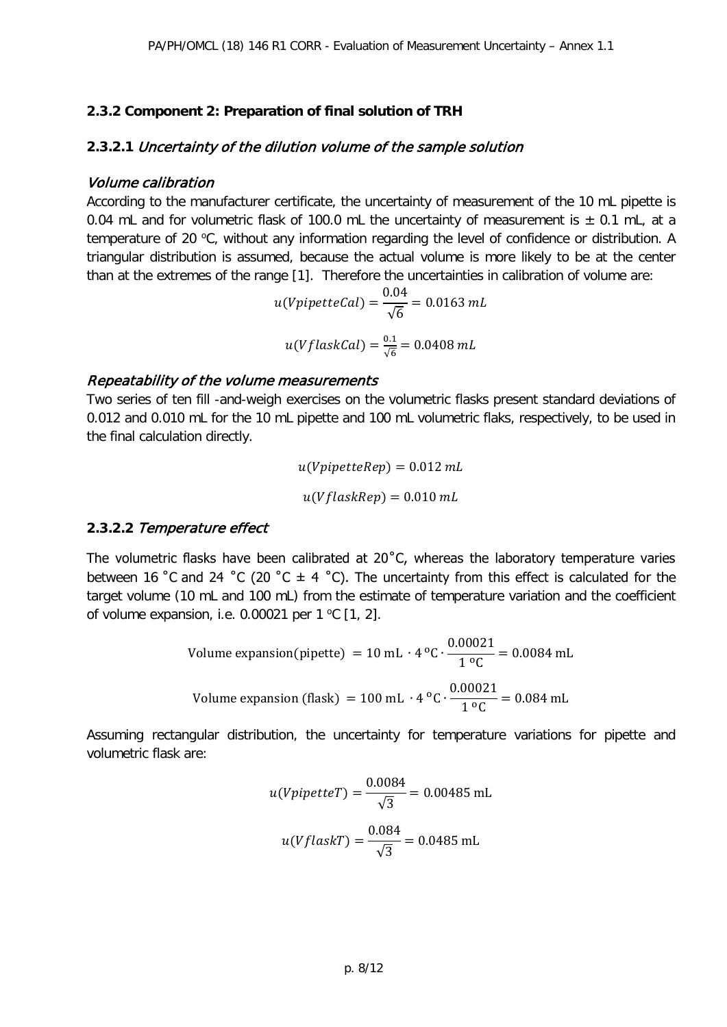#### **2.3.2 Component 2: Preparation of final solution of TRH**

#### **2.3.2.1** Uncertainty of the dilution volume of the sample solution

#### Volume calibration

According to the manufacturer certificate, the uncertainty of measurement of the 10 mL pipette is 0.04 mL and for volumetric flask of 100.0 mL the uncertainty of measurement is  $\pm$  0.1 mL, at a temperature of 20 °C, without any information regarding the level of confidence or distribution. A triangular distribution is assumed, because the actual volume is more likely to be at the center than at the extremes of the range [1]. Therefore the uncertainties in calibration of volume are:

$$
u(VpipetteCal) = \frac{0.04}{\sqrt{6}} = 0.0163 mL
$$

$$
u(VflaskCal) = \frac{0.1}{\sqrt{6}} = 0.0408 mL
$$

#### Repeatability of the volume measurements

Two series of ten fill -and-weigh exercises on the volumetric flasks present standard deviations of 0.012 and 0.010 mL for the 10 mL pipette and 100 mL volumetric flaks, respectively, to be used in the final calculation directly.

$$
u(VpipetteRep) = 0.012 mL
$$

$$
u(VflaskRep) = 0.010 mL
$$

#### **2.3.2.2** Temperature effect

The volumetric flasks have been calibrated at 20<sup>°</sup>C, whereas the laboratory temperature varies between 16 °C and 24 °C (20 °C  $\pm$  4 °C). The uncertainty from this effect is calculated for the target volume (10 mL and 100 mL) from the estimate of temperature variation and the coefficient of volume expansion, i.e. 0.00021 per 1  $^{\circ}$ C [1, 2].

Volume expansion(pipette) = 10 mL · 4 °C 
$$
\cdot \frac{0.00021}{1 °C}
$$
 = 0.0084 mL  
Volume expansion (flask) = 100 mL · 4 °C  $\cdot \frac{0.00021}{1 °C}$  = 0.084 mL

Assuming rectangular distribution, the uncertainty for temperature variations for pipette and volumetric flask are:

$$
u(Vpipetter) = \frac{0.0084}{\sqrt{3}} = 0.00485 \text{ mL}
$$

$$
u(VflaskT) = \frac{0.084}{\sqrt{3}} = 0.0485 \text{ mL}
$$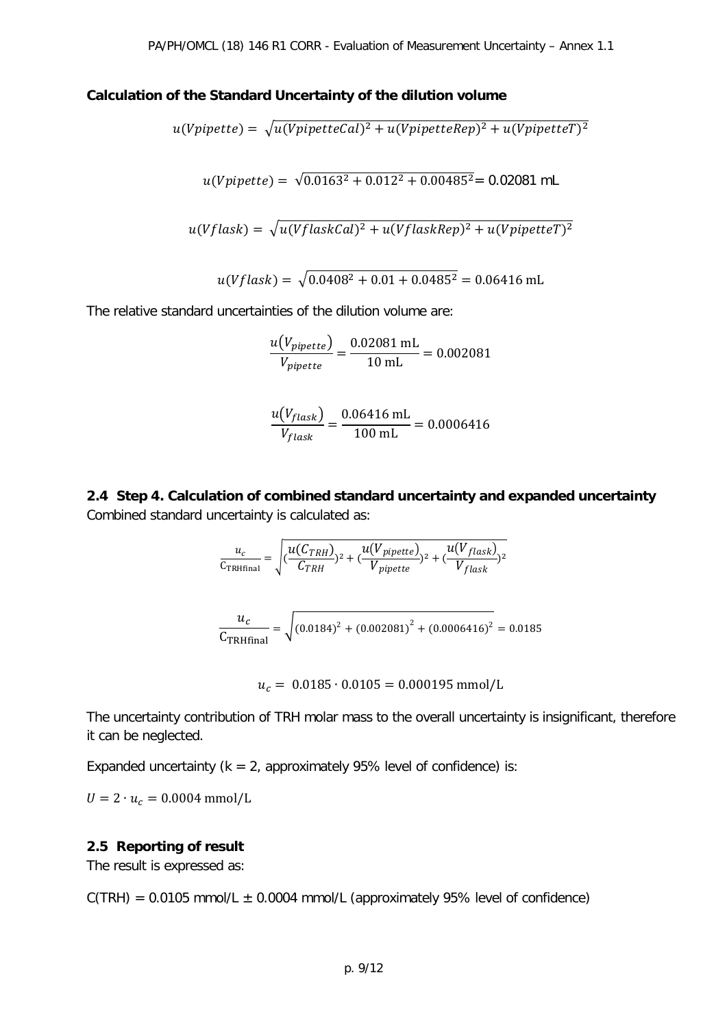#### **Calculation of the Standard Uncertainty of the dilution volume**

$$
u(Vpipette) = \sqrt{u(VpipetteCal)^2 + u(VpipetteRep)^2 + u(VpipetteT)^2}
$$
  

$$
u(Vpipette) = \sqrt{0.0163^2 + 0.012^2 + 0.00485^2} = 0.02081 \text{ mL}
$$
  

$$
u(Vflask) = \sqrt{u(VflaskCal)^2 + u(VflaskRep)^2 + u(VpipetteT)^2}
$$
  

$$
u(Vflask) = \sqrt{0.0408^2 + 0.01 + 0.0485^2} = 0.06416 \text{ mL}
$$

The relative standard uncertainties of the dilution volume are:

$$
\frac{u(V_{pipette})}{V_{pipette}} = \frac{0.02081 \text{ mL}}{10 \text{ mL}} = 0.002081
$$

$$
\frac{u(V_{flask})}{V_{flask}} = \frac{0.06416 \text{ mL}}{100 \text{ mL}} = 0.0006416
$$

**2.4 Step 4. Calculation of combined standard uncertainty and expanded uncertainty**  Combined standard uncertainty is calculated as:

$$
\frac{u_c}{C_{TRHfinal}} = \sqrt{\frac{u(C_{TRH})}{C_{TRH}})^2 + \frac{u(V_{pipette})}{V_{pipette}})^2 + \frac{u(V_{flask})}{V_{flask}}^2}
$$
\n
$$
\frac{u_c}{C_{TRHfinal}} = \sqrt{(0.0184)^2 + (0.002081)^2 + (0.0006416)^2} = 0.0185
$$

 $u_c = 0.0185 \cdot 0.0105 = 0.000195$  mmol/L

The uncertainty contribution of TRH molar mass to the overall uncertainty is insignificant, therefore it can be neglected.

Expanded uncertainty ( $k = 2$ , approximately 95% level of confidence) is:

 $U = 2 \cdot u_c = 0.0004$  mmol/L

#### **2.5 Reporting of result**

The result is expressed as:

 $C(TRH) = 0.0105$  mmol/L  $\pm$  0.0004 mmol/L (approximately 95% level of confidence)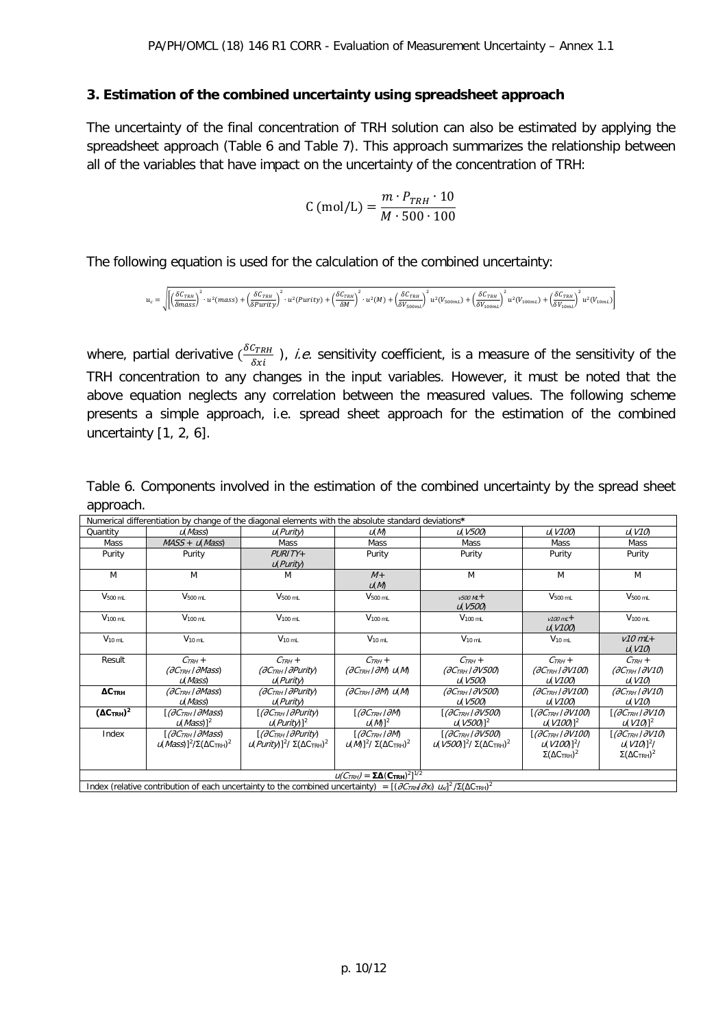#### **3. Estimation of the combined uncertainty using spreadsheet approach**

The uncertainty of the final concentration of TRH solution can also be estimated by applying the spreadsheet approach (Table 6 and Table 7). This approach summarizes the relationship between all of the variables that have impact on the uncertainty of the concentration of TRH:

$$
C \text{ (mol/L)} = \frac{m \cdot P_{TRH} \cdot 10}{M \cdot 500 \cdot 100}
$$

The following equation is used for the calculation of the combined uncertainty:

$$
u_c=\sqrt{\left[\left(\frac{\delta C_{TRH}}{\delta mass}\right)^2\cdot u^2 (mass)+\left(\frac{\delta C_{TRH}}{\delta Purity}\right)^2\cdot u^2 (Purity)+\left(\frac{\delta C_{TRH}}{\delta M}\right)^2\cdot u^2 (M)+\left(\frac{\delta C_{TRH}}{\delta V_{soomL}}\right)^2 u^2 (V_{soomL})+\left(\frac{\delta C_{TRH}}{\delta V_{100ml}}\right)^2 u^2 (V_{100ml})+\left(\frac{\delta C_{TRH}}{\delta V_{100ml}}\right)^2 u^2 (W_{100ml})}{\left(\frac{\delta V_{100ml}}{\delta V_{100ml}}\right)^2 u^2 (M_{100ml})}
$$

where, partial derivative  $(\frac{\delta C_{TRH}}{\delta x_i})$ , *i.e.* sensitivity coefficient, is a measure of the sensitivity of the TRH concentration to any changes in the input variables. However, it must be noted that the above equation neglects any correlation between the measured values. The following scheme presents a simple approach, i.e. spread sheet approach for the estimation of the combined uncertainty [1, 2, 6].

|                                   | Numerical differentiation by change of the diagonal elements with the absolute standard deviations*                                                |                                                                          |                                                                          |                                                                                                           |                                                                                       |                                                                                  |
|-----------------------------------|----------------------------------------------------------------------------------------------------------------------------------------------------|--------------------------------------------------------------------------|--------------------------------------------------------------------------|-----------------------------------------------------------------------------------------------------------|---------------------------------------------------------------------------------------|----------------------------------------------------------------------------------|
| Quantity                          | u(Mass)                                                                                                                                            | u(Purity)                                                                | u(M)                                                                     | u(V500)                                                                                                   | U(V100)                                                                               | u(V10)                                                                           |
| Mass                              | $MASS + u(Mass)$                                                                                                                                   | <b>Mass</b>                                                              | Mass                                                                     | Mass                                                                                                      | Mass                                                                                  | Mass                                                                             |
| Purity                            | Purity                                                                                                                                             | $PIRITY+$<br>u(Purity)                                                   | Purity                                                                   | Purity                                                                                                    | Purity                                                                                | Purity                                                                           |
| M                                 | M                                                                                                                                                  | M                                                                        | $M +$<br>U(M)                                                            | M                                                                                                         | M                                                                                     | M                                                                                |
| $V_{500}$ mL                      | $V500$ <sub>mL</sub>                                                                                                                               | $V500$ mL                                                                | $V500$ mL                                                                | $v500$ ML +<br>u(V500)                                                                                    | $V500$ mL                                                                             | $V_{500 \text{ mL}}$                                                             |
| $V100$ mL                         | $V100$ <sub>mL</sub>                                                                                                                               | $V100$ mL                                                                | $V100$ mL                                                                | $V100$ mL                                                                                                 | $v100$ mL +<br><i>u</i> (V100)                                                        | $V100$ <sub>mL</sub>                                                             |
| $V_{10 \text{ mL}}$               | $V_{10 \text{ mL}}$                                                                                                                                | $V_{10 \text{ mL}}$                                                      | $V_{10 \text{ mL}}$                                                      | $V_{10 \text{ mL}}$                                                                                       | $V_{10 \text{ mL}}$                                                                   | $V10$ mL+<br>U(V10)                                                              |
|                                   |                                                                                                                                                    |                                                                          |                                                                          |                                                                                                           |                                                                                       |                                                                                  |
| Result                            | $C_{TRH}$ +<br>$(\partial C_{TRH}/\partial Mass)$<br>U(MASS)                                                                                       | $C_{TRH}$ +<br>$(\partial C_{TRH} / \partial P$ urity<br>u(Purity)       | $C_{TRH}$ +<br>$(\partial C_{TRH}/\partial M)$ $u(M)$                    | $C_{TRH}$ +<br>$(\partial C_{TRH}/\partial V500)$<br>u(V500)                                              | $C_{TRH}$ +<br>$(\partial C_{TRH}/\partial V100)$<br>u(V100)                          | $C_{TRH}$ +<br>$(\partial C_{TRH}/\partial V10)$                                 |
| $\Delta C$ TRH                    | $(\partial C_{TRH} / \partial Mass)$<br>u(Mass)                                                                                                    | (ƏC <sub>TRH</sub>   ƏPurity)<br>u(Purity)                               | $(\partial C_{TRH} / \partial M)$ $U(M)$                                 | $(\partial C_{TRH} / \partial V500)$<br>u(V500)                                                           | $(\partial C_{TRH}/\partial V100)$<br>u(V100)                                         | U(V10)<br>$(\partial C_{TRH}/\partial V10)$<br>U(V10)                            |
| (AC <sub>TRH</sub> ) <sup>2</sup> | [ <i>(∂Сткн I ∂Mass</i> )<br>$\lfloor u(Mass)\rfloor^2$                                                                                            | [ <i>(∂Сткн I ∂Purity</i> )<br>$\mathcal{U}(Purity)]^2$                  | $[(\partial C_{TRH}/\partial M)]$<br>$\mathcal{U}(M)^2$                  | $[(\partial C_{TRH} / \partial V 500)]$<br>$U(V500)^2$                                                    | [ <i>(∂Сткн I ∂V100</i> )<br>$U(V100)^2$                                              | $[(\partial C_{TRH}/\partial V10)$<br>$\mathcal{U}(V10)^2$                       |
| Index                             | [ <i>(ӘСтқн I ӘMass</i> )<br>$\mu(Mass)]^2/\Sigma(\Delta C_{TRH})^2$                                                                               | [ <i>(∂Сткн I ∂Purity</i> )<br>$\mu(Purity)]^2/\Sigma(\Delta C_{TRH})^2$ | $[(\partial C_{TRH}/\partial M)]$<br>$\mu(M)^2/\Sigma(\Delta C_{TRH})^2$ | $[(\partial C_{TRH} / \partial V500)]$<br>$\mu$ (V500)] <sup>2</sup> / Σ(ΔC <sub>TRH</sub> ) <sup>2</sup> | $[(\partial C_{TRH} / \partial V100)]$<br>$U(V100)^2$ /<br>$\Sigma(\Delta C_{TRH})^2$ | $[(\partial C_{TRH}/\partial V10)$<br>$U(V10)^2$ /<br>$\Sigma(\Delta C_{TRH})^2$ |
|                                   | Index (relative contribution of each uncertainty to the combined uncertainty) = $[(\partial C_{TRH}/\partial x) U_{M}]^2/\Sigma(\Delta C_{TRH})^2$ |                                                                          | $U(C_{TRH}) = \Sigma \Delta (C_{TRH})^2]^{1/2}$                          |                                                                                                           |                                                                                       |                                                                                  |

Table 6. Components involved in the estimation of the combined uncertainty by the spread sheet approach.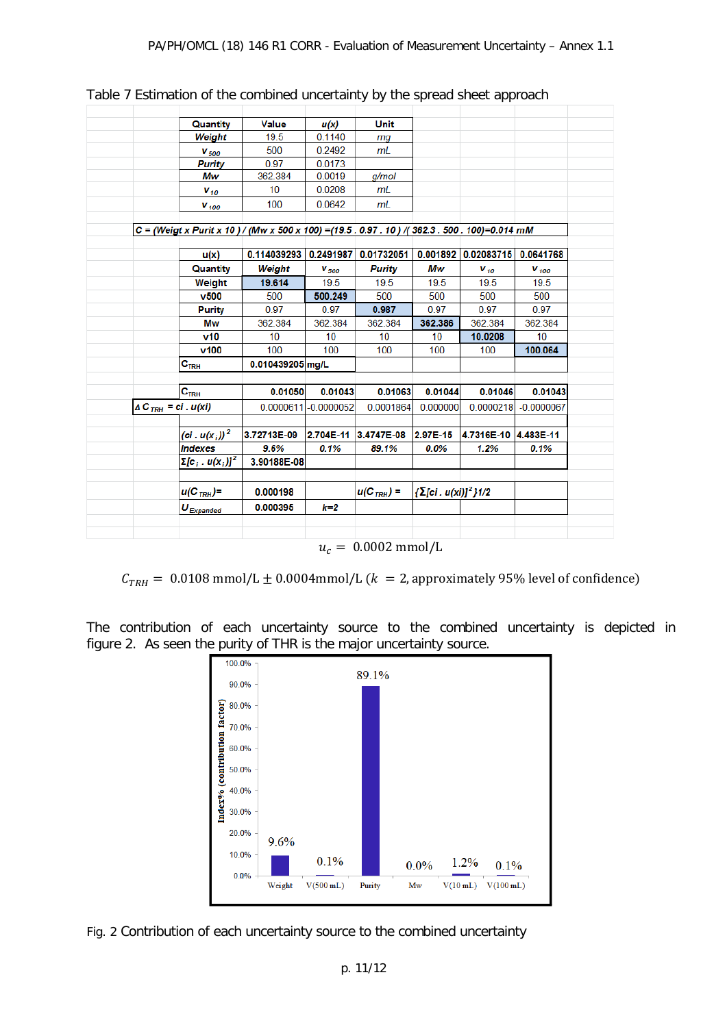|                                          | Quantity                     | <b>Value</b>                                                                                   | u(x)                  | <b>Unit</b>          |                                 |                      |              |
|------------------------------------------|------------------------------|------------------------------------------------------------------------------------------------|-----------------------|----------------------|---------------------------------|----------------------|--------------|
|                                          | Weight                       | 19.5                                                                                           | 0.1140                | mg                   |                                 |                      |              |
|                                          | $V_{500}$                    | 500                                                                                            | 0.2492                | mL                   |                                 |                      |              |
|                                          | <b>Purity</b>                | 0.97                                                                                           | 0.0173                |                      |                                 |                      |              |
|                                          | Mw                           | 362.384                                                                                        | 0.0019                | q/mol                |                                 |                      |              |
|                                          | $V_{10}$                     | 10                                                                                             | 0.0208                | m <sub>L</sub>       |                                 |                      |              |
|                                          | $V_{100}$                    | 100                                                                                            | 0.0642                | mL                   |                                 |                      |              |
|                                          |                              | C = (Weigt x Purit x 10) / (Mw x 500 x 100) = (19.5 . 0.97 . 10) /(362.3 . 500 . 100)=0.014 mM |                       |                      |                                 |                      |              |
|                                          |                              |                                                                                                |                       |                      |                                 |                      |              |
|                                          | u(x)                         | 0.114039293 0.2491987                                                                          |                       | 0.01732051           |                                 | 0.001892 0.02083715  | 0.0641768    |
|                                          | Quantity                     | Weight                                                                                         | $V_{500}$             | <b>Purity</b>        | Mw                              | $V_{10}$             | $V_{100}$    |
|                                          | Weight                       | 19.614                                                                                         | 19.5                  | 19.5                 | 19.5                            | 19.5                 | 19.5         |
|                                          | $v$ 500                      | 500                                                                                            | 500.249               | 500                  | 500                             | 500                  | 500          |
|                                          | <b>Purity</b>                | 0.97                                                                                           | 0.97                  | 0.987                | 0.97                            | 0.97                 | 0.97         |
|                                          | Mw                           | 362.384                                                                                        | 362.384               | 362.384              | 362.386                         | 362.384              | 362.384      |
|                                          | v10                          | 10                                                                                             | 10                    | 10                   | 10                              | 10.0208              | 10           |
|                                          | $v$ 100                      | 100                                                                                            | 100                   | 100                  | 100                             | 100                  | 100.064      |
|                                          | $\mathbf{C}_{\mathsf{TRH}}$  | 0.010439205 mg/L                                                                               |                       |                      |                                 |                      |              |
|                                          | C <sub>TRH</sub>             | 0.01050                                                                                        | 0.01043               | 0.01063              | 0.01044                         | 0.01046              | 0.01043      |
| $\triangle C$ <sub>TRH</sub> = ci. u(xi) |                              |                                                                                                | 0.0000611 - 0.0000052 | 0.0001864            | 0.000000                        | 0.0000218            | $-0.0000067$ |
|                                          |                              |                                                                                                |                       |                      |                                 |                      |              |
|                                          | (ci. $u(x_i)$ ) <sup>2</sup> | 3.72713E-09                                                                                    |                       | 2.704E-11 3.4747E-08 | 2.97E-15                        | 4.7316E-10 4.483E-11 |              |
|                                          | <b>Indexes</b>               | 9.6%                                                                                           | 0.1%                  | 89.1%                | $0.0\%$                         | 1.2%                 | 0.1%         |
|                                          | $\Sigma[c_i u(x_i)]^2$       | 3.90188E-08                                                                                    |                       |                      |                                 |                      |              |
|                                          | $u(C_{TRH})=$                | 0.000198                                                                                       |                       | $u(C_{TRH}) =$       | {Σ[ci. u(xi)] <sup>2</sup> }1/2 |                      |              |
|                                          |                              |                                                                                                | $k=2$                 |                      |                                 |                      |              |

Table 7 Estimation of the combined uncertainty by the spread sheet approach

 $u_c = 0.0002$  mmol/L

 $C_{TRH} = 0.0108$  mmol/L  $\pm$  0.0004mmol/L ( $k = 2$ , approximately 95% level of confidence)

The contribution of each uncertainty source to the combined uncertainty is depicted in figure 2. As seen the purity of THR is the major uncertainty source.



Fig. 2 Contribution of each uncertainty source to the combined uncertainty